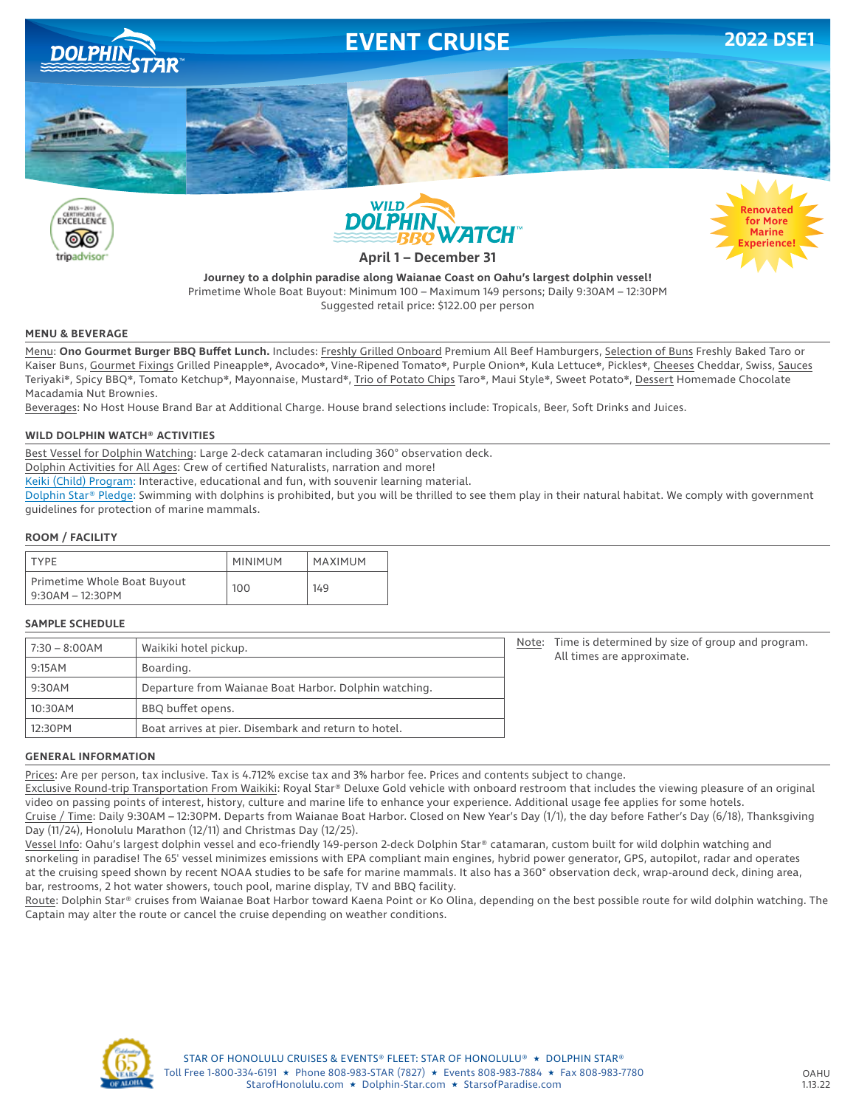

**Journey to a dolphin paradise along Waianae Coast on Oahu's largest dolphin vessel!** Primetime Whole Boat Buyout: Minimum 100 – Maximum 149 persons; Daily 9:30AM – 12:30PM Suggested retail price: \$122.00 per person

### **MENU & BEVERAGE**

Menu: **Ono Gourmet Burger BBQ Buffet Lunch.** Includes: Freshly Grilled Onboard Premium All Beef Hamburgers, Selection of Buns Freshly Baked Taro or Kaiser Buns, Gourmet Fixings Grilled Pineapple❋, Avocado❋, Vine-Ripened Tomato❋, Purple Onion❋, Kula Lettuce❋, Pickles❋, Cheeses Cheddar, Swiss, Sauces Teriyaki❋, Spicy BBQ❋, Tomato Ketchup❋, Mayonnaise, Mustard❋, Trio of Potato Chips Taro❋, Maui Style❋, Sweet Potato❋, Dessert Homemade Chocolate Macadamia Nut Brownies.

Beverages: No Host House Brand Bar at Additional Charge. House brand selections include: Tropicals, Beer, Soft Drinks and Juices.

### **WILD DOLPHIN WATCH® ACTIVITIES**

Best Vessel for Dolphin Watching: Large 2-deck catamaran including 360° observation deck.

Dolphin Activities for All Ages: Crew of certified Naturalists, narration and more!

Keiki (Child) Program: Interactive, educational and fun, with souvenir learning material.

Dolphin Star® Pledge: Swimming with dolphins is prohibited, but you will be thrilled to see them play in their natural habitat. We comply with government guidelines for protection of marine mammals.

### **ROOM / FACILITY**

| <b>TYPF</b>                                     | <b>MINIMUM</b> | MAXIMUM |
|-------------------------------------------------|----------------|---------|
| Primetime Whole Boat Buyout<br>9:30AM – 12:30PM | 100            | 149     |

### **SAMPLE SCHEDULE**

| $7:30 - 8:00AM$ | Waikiki hotel pickup.                                 | Note: | Time is determined by size of group and program.<br>All times are approximate. |
|-----------------|-------------------------------------------------------|-------|--------------------------------------------------------------------------------|
| 9:15AM          | Boarding.                                             |       |                                                                                |
| 9:30AM          | Departure from Waianae Boat Harbor. Dolphin watching. |       |                                                                                |
| 10:30AM         | BBQ buffet opens.                                     |       |                                                                                |
| 12:30PM         | Boat arrives at pier. Disembark and return to hotel.  |       |                                                                                |

#### **GENERAL INFORMATION**

Prices: Are per person, tax inclusive. Tax is 4.712% excise tax and 3% harbor fee. Prices and contents subject to change.

Exclusive Round-trip Transportation From Waikiki: Royal Star® Deluxe Gold vehicle with onboard restroom that includes the viewing pleasure of an original video on passing points of interest, history, culture and marine life to enhance your experience. Additional usage fee applies for some hotels.

Cruise / Time: Daily 9:30AM – 12:30PM. Departs from Waianae Boat Harbor. Closed on New Year's Day (1/1), the day before Father's Day (6/18), Thanksgiving Day (11/24), Honolulu Marathon (12/11) and Christmas Day (12/25).

Vessel Info: Oahu's largest dolphin vessel and eco-friendly 149-person 2-deck Dolphin Star® catamaran, custom built for wild dolphin watching and snorkeling in paradise! The 65' vessel minimizes emissions with EPA compliant main engines, hybrid power generator, GPS, autopilot, radar and operates at the cruising speed shown by recent NOAA studies to be safe for marine mammals. It also has a 360° observation deck, wrap-around deck, dining area, bar, restrooms, 2 hot water showers, touch pool, marine display, TV and BBQ facility.

Route: Dolphin Star® cruises from Waianae Boat Harbor toward Kaena Point or Ko Olina, depending on the best possible route for wild dolphin watching. The Captain may alter the route or cancel the cruise depending on weather conditions.